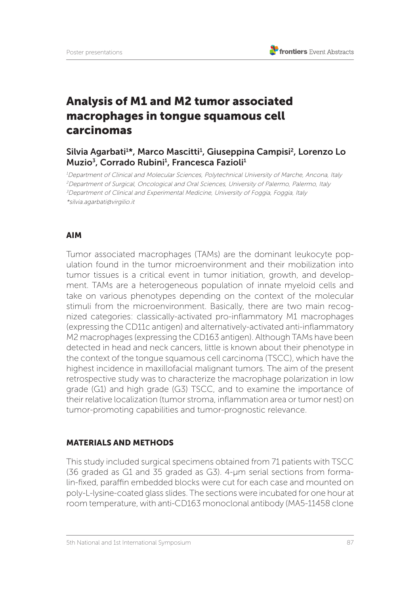# Analysis of M1 and M2 tumor associated macrophages in tongue squamous cell carcinomas

## Silvia Agarbati<sup>1\*</sup>, Marco Mascitti<sup>1</sup>, Giuseppina Campisi<sup>2</sup>, Lorenzo Lo Muzio<sup>3</sup>, Corrado Rubini<sup>1</sup>, Francesca Fazioli<sup>1</sup>

<sup>1</sup>Department of Clinical and Molecular Sciences, Polytechnical University of Marche, Ancona, Italy <sup>2</sup>Department of Surgical, Oncological and Oral Sciences, University of Palermo, Palermo, Italy <sup>3</sup>Department of Clinical and Experimental Medicine, University of Foggia, Foggia, Italy \*silvia.agarbati@virgilio.it

### AIM

Tumor associated macrophages (TAMs) are the dominant leukocyte population found in the tumor microenvironment and their mobilization into tumor tissues is a critical event in tumor initiation, growth, and development. TAMs are a heterogeneous population of innate myeloid cells and take on various phenotypes depending on the context of the molecular stimuli from the microenvironment. Basically, there are two main recognized categories: classically-activated pro-inflammatory M1 macrophages (expressing the CD11c antigen) and alternatively-activated anti-inflammatory M2 macrophages (expressing the CD163 antigen). Although TAMs have been detected in head and neck cancers, little is known about their phenotype in the context of the tongue squamous cell carcinoma (TSCC), which have the highest incidence in maxillofacial malignant tumors. The aim of the present retrospective study was to characterize the macrophage polarization in low grade (G1) and high grade (G3) TSCC, and to examine the importance of their relative localization (tumor stroma, inflammation area or tumor nest) on tumor-promoting capabilities and tumor-prognostic relevance.

#### MATERIALS AND METHODS

This study included surgical specimens obtained from 71 patients with TSCC (36 graded as G1 and 35 graded as G3). 4-µm serial sections from formalin-fixed, paraffin embedded blocks were cut for each case and mounted on poly-L-lysine-coated glass slides. The sections were incubated for one hour at room temperature, with anti-CD163 monoclonal antibody (MA5-11458 clone